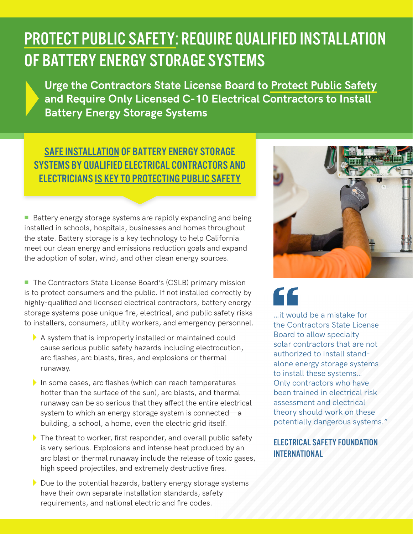## PROTECT PUBLIC SAFETY: REQUIRE QUALIFIED INSTALLATION OF BATTERY ENERGY STORAGE SYSTEMS

**Urge the Contractors State License Board to Protect Public Safety and Require Only Licensed C-10 Electrical Contractors to Install Battery Energy Storage Systems**

## SAFE INSTALLATION OF BATTERY ENERGY STORAGE SYSTEMS BY QUALIFIED ELECTRICAL CONTRACTORS AND ELECTRICIANS IS KEY TO PROTECTING PUBLIC SAFETY

 $\blacksquare$  Battery energy storage systems are rapidly expanding and being installed in schools, hospitals, businesses and homes throughout the state. Battery storage is a key technology to help California meet our clean energy and emissions reduction goals and expand the adoption of solar, wind, and other clean energy sources.

■ The Contractors State License Board's (CSLB) primary mission is to protect consumers and the public. If not installed correctly by highly-qualified and licensed electrical contractors, battery energy storage systems pose unique fire, electrical, and public safety risks to installers, consumers, utility workers, and emergency personnel.

- $\blacktriangleright$  A system that is improperly installed or maintained could cause serious public safety hazards including electrocution, arc flashes, arc blasts, fires, and explosions or thermal runaway.
- $\blacktriangleright$  In some cases, arc flashes (which can reach temperatures hotter than the surface of the sun), arc blasts, and thermal runaway can be so serious that they affect the entire electrical system to which an energy storage system is connected—a building, a school, a home, even the electric grid itself.
- $\triangleright$  The threat to worker, first responder, and overall public safety is very serious. Explosions and intense heat produced by an arc blast or thermal runaway include the release of toxic gases, high speed projectiles, and extremely destructive fires.
- $\blacktriangleright$  Due to the potential hazards, battery energy storage systems have their own separate installation standards, safety requirements, and national electric and fire codes.



## CC

…it would be a mistake for the Contractors State License Board to allow specialty solar contractors that are not authorized to install standalone energy storage systems to install these systems… Only contractors who have been trained in electrical risk assessment and electrical theory should work on these potentially dangerous systems."

ELECTRICAL SAFETY FOUNDATION INTERNATIONAL